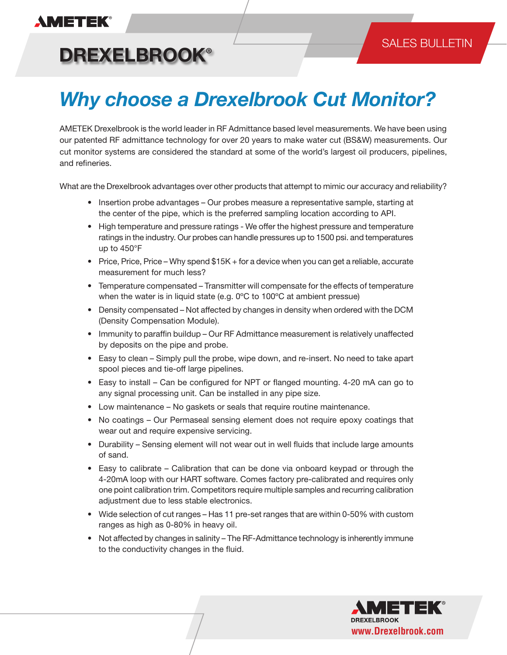## **AMETEK®**

### SALES BULLETIN

**DREXELBROOK®**

# *Why choose a Drexelbrook Cut Monitor?*

AMETEK Drexelbrook is the world leader in RF Admittance based level measurements. We have been using our patented RF admittance technology for over 20 years to make water cut (BS&W) measurements. Our cut monitor systems are considered the standard at some of the world's largest oil producers, pipelines, and refineries.

What are the Drexelbrook advantages over other products that attempt to mimic our accuracy and reliability?

- Insertion probe advantages Our probes measure a representative sample, starting at the center of the pipe, which is the preferred sampling location according to API.
- High temperature and pressure ratings We offer the highest pressure and temperature ratings in the industry. Our probes can handle pressures up to 1500 psi. and temperatures up to 450°F
- Price, Price, Price Why spend \$15K + for a device when you can get a reliable, accurate measurement for much less?
- Temperature compensated Transmitter will compensate for the effects of temperature when the water is in liquid state (e.g. 0ºC to 100ºC at ambient pressue)
- Density compensated Not affected by changes in density when ordered with the DCM (Density Compensation Module).
- Immunity to paraffin buildup Our RF Admittance measurement is relatively unaffected by deposits on the pipe and probe.
- Easy to clean Simply pull the probe, wipe down, and re-insert. No need to take apart spool pieces and tie-off large pipelines.
- Easy to install Can be configured for NPT or flanged mounting. 4-20 mA can go to any signal processing unit. Can be installed in any pipe size.
- Low maintenance No gaskets or seals that require routine maintenance.
- No coatings Our Permaseal sensing element does not require epoxy coatings that wear out and require expensive servicing.
- Durability Sensing element will not wear out in well fluids that include large amounts of sand.
- Easy to calibrate Calibration that can be done via onboard keypad or through the 4-20mA loop with our HART software. Comes factory pre-calibrated and requires only one point calibration trim. Competitors require multiple samples and recurring calibration adjustment due to less stable electronics.
- Wide selection of cut ranges Has 11 pre-set ranges that are within 0-50% with custom ranges as high as 0-80% in heavy oil.
- Not affected by changes in salinity The RF-Admittance technology is inherently immune to the conductivity changes in the fluid.

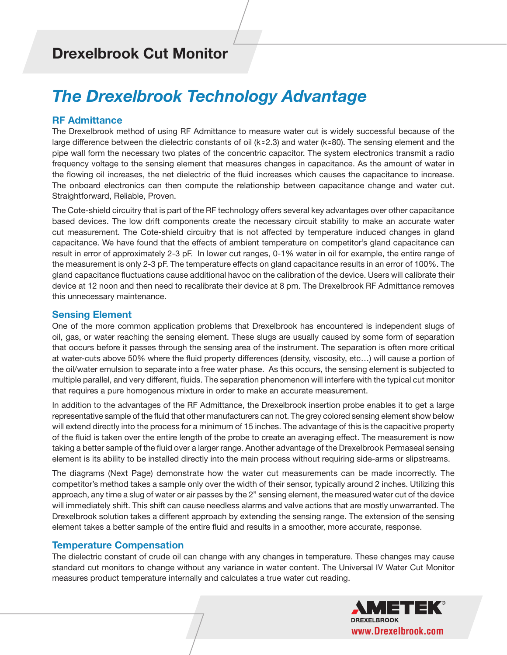### **Drexelbrook Cut Monitor**

## *The Drexelbrook Technology Advantage*

#### **RF Admittance**

The Drexelbrook method of using RF Admittance to measure water cut is widely successful because of the large difference between the dielectric constants of oil ( $k \approx 2.3$ ) and water ( $k \approx 80$ ). The sensing element and the pipe wall form the necessary two plates of the concentric capacitor. The system electronics transmit a radio frequency voltage to the sensing element that measures changes in capacitance. As the amount of water in the flowing oil increases, the net dielectric of the fluid increases which causes the capacitance to increase. The onboard electronics can then compute the relationship between capacitance change and water cut. Straightforward, Reliable, Proven.

The Cote-shield circuitry that is part of the RF technology offers several key advantages over other capacitance based devices. The low drift components create the necessary circuit stability to make an accurate water cut measurement. The Cote-shield circuitry that is not affected by temperature induced changes in gland capacitance. We have found that the effects of ambient temperature on competitor's gland capacitance can result in error of approximately 2-3 pF. In lower cut ranges, 0-1% water in oil for example, the entire range of the measurement is only 2-3 pF. The temperature effects on gland capacitance results in an error of 100%. The gland capacitance fluctuations cause additional havoc on the calibration of the device. Users will calibrate their device at 12 noon and then need to recalibrate their device at 8 pm. The Drexelbrook RF Admittance removes this unnecessary maintenance.

#### **Sensing Element**

One of the more common application problems that Drexelbrook has encountered is independent slugs of oil, gas, or water reaching the sensing element. These slugs are usually caused by some form of separation that occurs before it passes through the sensing area of the instrument. The separation is often more critical at water-cuts above 50% where the fluid property differences (density, viscosity, etc…) will cause a portion of the oil/water emulsion to separate into a free water phase. As this occurs, the sensing element is subjected to multiple parallel, and very different, fluids. The separation phenomenon will interfere with the typical cut monitor that requires a pure homogenous mixture in order to make an accurate measurement.

In addition to the advantages of the RF Admittance, the Drexelbrook insertion probe enables it to get a large representative sample of the fluid that other manufacturers can not. The grey colored sensing element show below will extend directly into the process for a minimum of 15 inches. The advantage of this is the capacitive property of the fluid is taken over the entire length of the probe to create an averaging effect. The measurement is now taking a better sample of the fluid over a larger range. Another advantage of the Drexelbrook Permaseal sensing element is its ability to be installed directly into the main process without requiring side-arms or slipstreams.

The diagrams (Next Page) demonstrate how the water cut measurements can be made incorrectly. The competitor's method takes a sample only over the width of their sensor, typically around 2 inches. Utilizing this approach, any time a slug of water or air passes by the 2" sensing element, the measured water cut of the device will immediately shift. This shift can cause needless alarms and valve actions that are mostly unwarranted. The Drexelbrook solution takes a different approach by extending the sensing range. The extension of the sensing element takes a better sample of the entire fluid and results in a smoother, more accurate, response.

#### **Temperature Compensation**

The dielectric constant of crude oil can change with any changes in temperature. These changes may cause standard cut monitors to change without any variance in water content. The Universal IV Water Cut Monitor measures product temperature internally and calculates a true water cut reading.

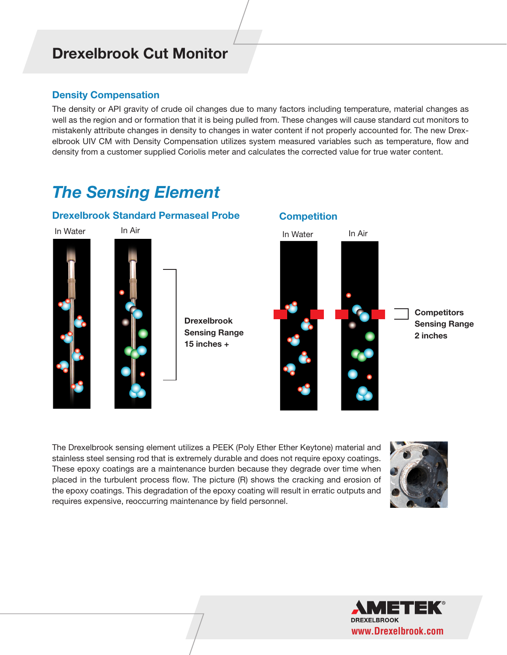### **Drexelbrook Cut Monitor**

#### **Density Compensation**

The density or API gravity of crude oil changes due to many factors including temperature, material changes as well as the region and or formation that it is being pulled from. These changes will cause standard cut monitors to mistakenly attribute changes in density to changes in water content if not properly accounted for. The new Drexelbrook UIV CM with Density Compensation utilizes system measured variables such as temperature, flow and density from a customer supplied Coriolis meter and calculates the corrected value for true water content.

## *The Sensing Element*

#### **Drexelbrook Standard Permaseal Probe**





**Sensing Range 15 inches +**

In Water In Air

**Competition**



The Drexelbrook sensing element utilizes a PEEK (Poly Ether Ether Keytone) material and stainless steel sensing rod that is extremely durable and does not require epoxy coatings. These epoxy coatings are a maintenance burden because they degrade over time when placed in the turbulent process flow. The picture (R) shows the cracking and erosion of the epoxy coatings. This degradation of the epoxy coating will result in erratic outputs and requires expensive, reoccurring maintenance by field personnel.



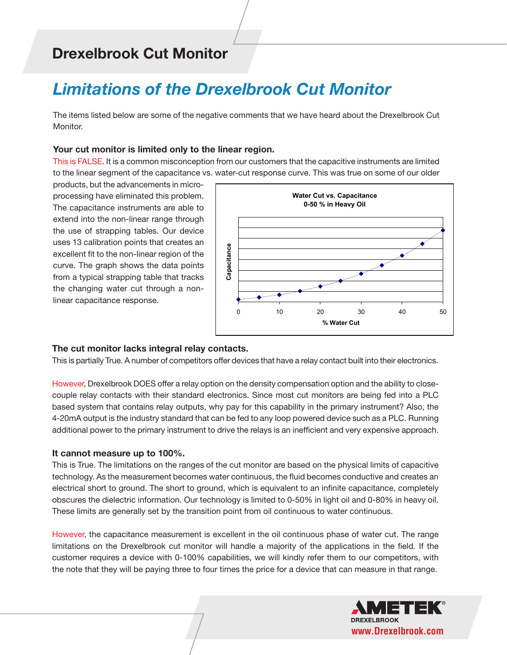## **Drexelbrook Cut Monitor**

## *Limitations of the Drexelbrook Cut Monitor*

The items listed below are some of the negative comments that we have heard about the Drexelbrook Cut Monitor.

#### **Your cut monitor is limited only to the linear region.**

This is FALSE. It is a common misconception from our customers that the capacitive instruments are limited to the linear segment of the capacitance vs. water-cut response curve. This was true on some of our older

products, but the advancements in microprocessing have eliminated this problem. The capacitance instruments are able to extend into the non-linear range through the use of strapping tables. Our device uses 13 calibration points that creates an excellent fit to the non-linear region of the curve. The graph shows the data points from a typical strapping table that tracks the changing water cut through a nonlinear capacitance response.



#### **The cut monitor lacks integral relay contacts.**

This is partially True. A number of competitors offer devices that have a relay contact built into their electronics.

However, Drexelbrook DOES offer a relay option on the density compensation option and the ability to closecouple relay contacts with their standard electronics. Since most cut monitors are being fed into a PLC based system that contains relay outputs, why pay for this capability in the primary instrument? Also, the 4-20mA output is the industry standard that can be fed to any loop powered device such as a PLC. Running additional power to the primary instrument to drive the relays is an inefficient and very expensive approach.

#### **It cannot measure up to 100%.**

This is True. The limitations on the ranges of the cut monitor are based on the physical limits of capacitive technology. As the measurement becomes water continuous, the fluid becomes conductive and creates an electrical short to ground. The short to ground, which is equivalent to an infinite capacitance, completely obscures the dielectric information. Our technology is limited to 0-50% in light oil and 0-80% in heavy oil. These limits are generally set by the transition point from oil continuous to water continuous.

However, the capacitance measurement is excellent in the oil continuous phase of water cut. The range limitations on the Drexelbrook cut monitor will handle a majority of the applications in the field. If the customer requires a device with 0-100% capabilities, we will kindly refer them to our competitors, with the note that they will be paying three to four times the price for a device that can measure in that range.